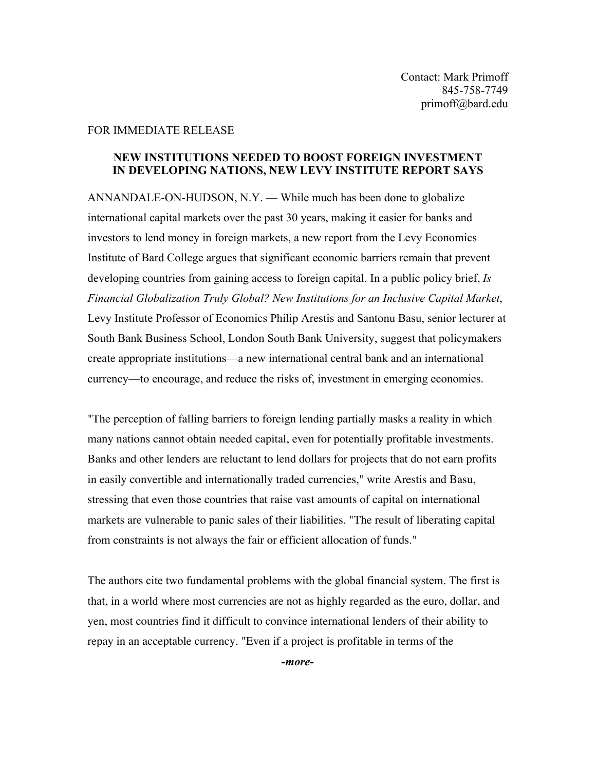## FOR IMMEDIATE RELEASE

## **NEW INSTITUTIONS NEEDED TO BOOST FOREIGN INVESTMENT IN DEVELOPING NATIONS, NEW LEVY INSTITUTE REPORT SAYS**

ANNANDALE-ON-HUDSON, N.Y. — While much has been done to globalize international capital markets over the past 30 years, making it easier for banks and investors to lend money in foreign markets, a new report from the Levy Economics Institute of Bard College argues that significant economic barriers remain that prevent developing countries from gaining access to foreign capital. In a public policy brief, *Is Financial Globalization Truly Global? New Institutions for an Inclusive Capital Market*, Levy Institute Professor of Economics Philip Arestis and Santonu Basu, senior lecturer at South Bank Business School, London South Bank University, suggest that policymakers create appropriate institutions—a new international central bank and an international currency—to encourage, and reduce the risks of, investment in emerging economies.

"The perception of falling barriers to foreign lending partially masks a reality in which many nations cannot obtain needed capital, even for potentially profitable investments. Banks and other lenders are reluctant to lend dollars for projects that do not earn profits in easily convertible and internationally traded currencies," write Arestis and Basu, stressing that even those countries that raise vast amounts of capital on international markets are vulnerable to panic sales of their liabilities. "The result of liberating capital from constraints is not always the fair or efficient allocation of funds."

The authors cite two fundamental problems with the global financial system. The first is that, in a world where most currencies are not as highly regarded as the euro, dollar, and yen, most countries find it difficult to convince international lenders of their ability to repay in an acceptable currency. "Even if a project is profitable in terms of the

*-more-*